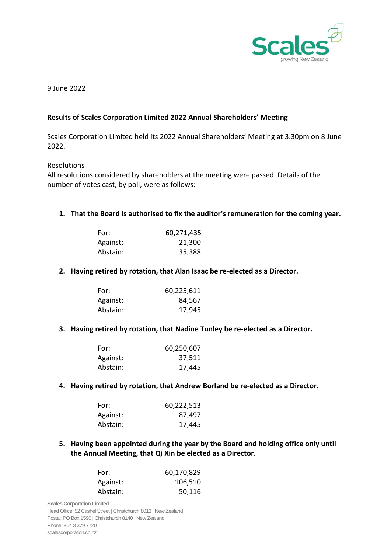

9 June 2022

## **Results of Scales Corporation Limited 2022 Annual Shareholders' Meeting**

Scales Corporation Limited held its 2022 Annual Shareholders' Meeting at 3.30pm on 8 June 2022.

### Resolutions

All resolutions considered by shareholders at the meeting were passed. Details of the number of votes cast, by poll, were as follows:

**1. That the Board is authorised to fix the auditor's remuneration for the coming year.**

| For:     | 60,271,435 |
|----------|------------|
| Against: | 21,300     |
| Abstain: | 35,388     |

## **2. Having retired by rotation, that Alan Isaac be re-elected as a Director.**

| For:     | 60,225,611 |
|----------|------------|
| Against: | 84,567     |
| Abstain: | 17,945     |

#### **3. Having retired by rotation, that Nadine Tunley be re-elected as a Director.**

| For:     | 60,250,607 |
|----------|------------|
| Against: | 37,511     |
| Abstain: | 17,445     |

## **4. Having retired by rotation, that Andrew Borland be re-elected as a Director.**

| For:     | 60,222,513 |
|----------|------------|
| Against: | 87,497     |
| Abstain: | 17,445     |

# **5. Having been appointed during the year by the Board and holding office only until the Annual Meeting, that Qi Xin be elected as a Director.**

| For:     | 60,170,829 |
|----------|------------|
| Against: | 106,510    |
| Abstain: | 50,116     |

**Scales Corporation Limited** Head Office: 52 Cashel Street | Christchurch 8013 | New Zealand Postal: PO Box 1590 | Christchurch 8140 | New Zealand Phone: +64 3 379 7720 scalescorporation.co.nz